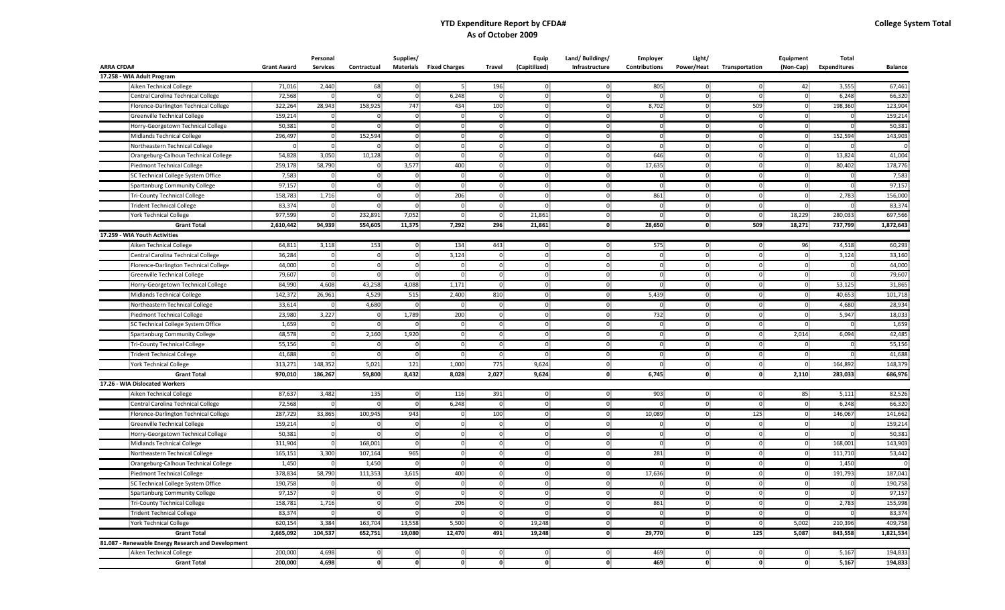## **YTD Expenditure Report by CFDA# As of October 2009**

|                                                    |                    | Personal        |                                | Supplies/                    |                                |                | <b>Equip</b>                   | Land/Buildings/ | Employer       | Light/                         |                      | Equipment      | Total               |                    |
|----------------------------------------------------|--------------------|-----------------|--------------------------------|------------------------------|--------------------------------|----------------|--------------------------------|-----------------|----------------|--------------------------------|----------------------|----------------|---------------------|--------------------|
| <b>ARRA CFDA#</b>                                  | <b>Grant Award</b> | <b>Services</b> | Contractual                    |                              | <b>Materials</b> Fixed Charges | Travel         | (Capitilized)                  | Infrastructure  | Contributions  | Power/Heat                     | Transportation       | (Non-Cap)      | <b>Expenditures</b> | <b>Balance</b>     |
| 17.258 - WIA Adult Program                         |                    |                 |                                |                              |                                |                |                                |                 |                |                                |                      |                |                     |                    |
| Aiken Technical College                            | 71,016             | 2,440           | 68                             | $\overline{0}$               | 5                              | 196            | $\overline{0}$                 | $\overline{0}$  | 805            | $\overline{0}$                 | $\overline{0}$       | 42             | 3,555               | 67,461             |
| Central Carolina Technical College                 | 72,568             | $\overline{0}$  | $\overline{0}$                 | $\overline{0}$               | 6,248                          | $\overline{0}$ | $\overline{0}$                 | $\overline{0}$  | $\overline{0}$ | $\mathbf{0}$                   | $\overline{0}$       | $\overline{0}$ | 6,248               | 66,320             |
| Florence-Darlington Technical College              | 322,264            | 28,943          | 158,925                        | 747                          | 434                            | 100            | $\overline{0}$                 | $\overline{0}$  | 8,702          | $\overline{0}$                 | 509                  | $\overline{0}$ | 198,360             | 123,904            |
| Greenville Technical College                       | 159,214            | $\overline{0}$  | $\overline{0}$                 | $\overline{0}$               | $\overline{0}$                 | $\overline{0}$ | $\overline{0}$                 | $\overline{0}$  | $\overline{0}$ | $\overline{0}$                 | $\overline{0}$       | $\overline{0}$ | $\overline{0}$      | 159,214            |
| Horry-Georgetown Technical College                 | 50,381             | $\overline{0}$  | $\overline{0}$                 | $\overline{0}$               | $\overline{0}$                 | $\overline{0}$ | $\overline{0}$                 | $\overline{0}$  | $\overline{0}$ | $\overline{0}$                 | $\overline{0}$       | $\overline{0}$ | $\overline{0}$      | 50,381             |
| Midlands Technical College                         | 296,497            | $\overline{0}$  | 152,594                        | $\overline{0}$               | $\overline{0}$                 | $\overline{0}$ | $\overline{0}$                 | $\overline{0}$  | $\overline{0}$ | $\overline{0}$                 | $\overline{0}$       | $\overline{0}$ | 152,594             | 143,903            |
| Northeastern Technical College                     | $\overline{0}$     | $\overline{0}$  | $\overline{0}$                 | $\overline{0}$               | $\overline{0}$                 | 0              | $\mathbf{0}$                   | $\overline{0}$  | $\overline{0}$ | $\mathbf{0}$                   | $\overline{0}$       | $\overline{0}$ | $\overline{0}$      | $\Omega$           |
| Orangeburg-Calhoun Technical College               | 54,828             | 3,050           | 10,128                         | $\overline{0}$               | $\overline{0}$                 | $\overline{0}$ | $\overline{0}$                 | $\overline{0}$  | 646            | $\overline{0}$                 | $\overline{0}$       | $\overline{0}$ | 13,824              | 41,004             |
| Piedmont Technical College                         | 259,178            | 58,790          | $\mathbf{0}$                   | 3,577                        | 400                            | $\overline{0}$ | $\overline{0}$                 | $\overline{0}$  | 17,635         | $\overline{0}$                 | $\overline{0}$       | $\overline{0}$ | 80,402              | 178,776            |
| SC Technical College System Office                 | 7,583              | $\overline{0}$  | $\overline{0}$                 | $\overline{0}$               | $\overline{0}$                 | $\overline{0}$ | $\overline{0}$                 | $\overline{0}$  | $\Omega$       | $\overline{0}$                 | $\overline{0}$       | $\overline{0}$ | $\Omega$            | 7,583              |
| Spartanburg Community College                      | 97,157             | $\overline{0}$  | $\mathbf 0$                    | $\overline{0}$               | $\overline{0}$                 | $\overline{0}$ | $\overline{0}$                 | $\overline{0}$  | $\overline{0}$ | $\overline{0}$                 | $\overline{0}$       | $\overline{0}$ | $\overline{0}$      | 97,157             |
| Tri-County Technical College                       | 158,783            | 1,716           | $\overline{0}$                 | $\overline{0}$               | 206                            | $\overline{0}$ | $\overline{0}$                 | $\overline{0}$  | 861            | $\overline{0}$                 | $\overline{0}$       | $\overline{0}$ | 2,783               | 156,000            |
| <b>Trident Technical College</b>                   | 83,374             | $\overline{0}$  | $\overline{0}$                 | $\overline{0}$               | $\overline{0}$                 | $\overline{0}$ | $\overline{0}$                 | $\overline{0}$  | $\overline{0}$ | $\overline{0}$                 | $\overline{0}$       | $\overline{0}$ | $\overline{0}$      | 83,374             |
| <b>York Technical College</b>                      | 977,599            | $\Omega$        | 232,891                        | 7,052                        | $\overline{0}$                 | $\overline{0}$ | 21,861                         | $\overline{0}$  | $\Omega$       | $\overline{0}$                 | $\overline{0}$       | 18,229         | 280,033             | 697,566            |
| <b>Grant Total</b>                                 | 2,610,442          | 94,939          | 554,605                        | 11,375                       | 7,292                          | 296            | 21,861                         | $\mathbf{0}$    | 28,650         | $\mathbf{0}$                   | 509                  | 18,271         | 737,799             | 1,872,643          |
| 17.259 - WIA Youth Activities                      |                    |                 |                                |                              |                                |                |                                |                 |                |                                |                      |                |                     |                    |
| Aiken Technical College                            | 64,811             | 3,118           | 153                            | $\mathbf{0}$                 | 134                            | 443            | $\overline{0}$                 | $\overline{0}$  | 575            | $\overline{0}$                 | $\overline{0}$       | 96             | 4,518               | 60,293             |
| Central Carolina Technical College                 | 36,284             | $\overline{0}$  | $\overline{0}$                 | $\overline{0}$               | 3,124                          | $\overline{0}$ | $\overline{0}$                 | $\overline{0}$  | $\overline{0}$ | $\overline{0}$                 | $\overline{0}$       | $\overline{0}$ | 3,124               | 33,160             |
| Florence-Darlington Technical College              | 44,000             | $\overline{0}$  | $\overline{0}$                 | $\overline{0}$               | $\overline{0}$                 | $\overline{0}$ | $\overline{0}$                 | $\overline{0}$  | $\overline{0}$ | $\overline{0}$                 | $\overline{0}$       | $\overline{0}$ | $\overline{0}$      | 44,000             |
| <b>Greenville Technical College</b>                | 79,607             | $\overline{0}$  | $\overline{0}$                 | $\overline{0}$               | $\overline{0}$                 | $\overline{0}$ | $\overline{0}$                 | $\overline{0}$  | $\overline{0}$ | $\overline{0}$                 | $\overline{0}$       | $\overline{0}$ | $\overline{0}$      | 79,607             |
| Horry-Georgetown Technical College                 | 84,990             | 4,608           | 43,258                         | 4,088                        | 1,171                          | $\overline{0}$ | $\overline{0}$                 | $\overline{0}$  | $\overline{0}$ | $\overline{0}$                 | $\overline{0}$       | $\overline{0}$ | 53,125              | 31,865             |
| Midlands Technical College                         | 142,372            | 26,961          | 4,529                          | 515                          | 2,400                          | 810            | $\overline{0}$                 | $\overline{0}$  | 5,439          | $\overline{0}$                 | $\overline{0}$       | $\overline{0}$ | 40,653              | 101,718            |
| Northeastern Technical College                     | 33,614             | $\overline{0}$  | 4,680                          | $\overline{0}$               | $\overline{0}$                 | $\overline{0}$ | $\overline{0}$                 | $\overline{0}$  | $\overline{0}$ | $\overline{0}$                 | $\overline{0}$       | $\overline{0}$ | 4,680               | 28,934             |
| Piedmont Technical College                         | 23,980             | 3,227           | $\overline{0}$                 | 1,789                        | 200                            | $\overline{0}$ | $\overline{0}$                 | $\overline{0}$  | 732            | $\overline{0}$                 | $\overline{0}$       | $\overline{0}$ | 5,947               | 18,033             |
| SC Technical College System Office                 | 1,659              | $\overline{0}$  | $\overline{0}$                 | $\overline{0}$               | $\overline{0}$                 | $\overline{0}$ | $\overline{0}$                 | $\overline{0}$  | $\overline{0}$ | $\overline{0}$                 | $\overline{0}$       | $\overline{0}$ | $\overline{0}$      | 1,659              |
| Spartanburg Community College                      | 48,578             | $\overline{0}$  | 2,160                          | 1,920                        | $\overline{0}$                 | $\overline{0}$ | $\overline{0}$                 | $\overline{0}$  | $\overline{0}$ | $\overline{0}$                 | $\overline{0}$       | 2,014          | 6,094               | 42,485             |
| Tri-County Technical College                       | 55,156             | $\overline{0}$  | $\overline{0}$                 | $\overline{0}$               | $\overline{0}$                 | $\overline{0}$ | $\overline{0}$                 | $\overline{0}$  | $\overline{0}$ | $\overline{0}$                 | $\overline{0}$       | $\overline{0}$ | $\overline{0}$      | 55,156             |
| <b>Trident Technical College</b>                   | 41,688             | $\overline{0}$  | $\overline{0}$                 | $\overline{0}$               | $\overline{0}$                 | $\overline{0}$ | $\overline{0}$                 | $\overline{0}$  | $\overline{0}$ | $\overline{0}$                 | $\overline{0}$       | $\overline{0}$ | $\overline{0}$      | 41,688             |
| <b>York Technical College</b>                      | 313,271            | 148,352         | 5,021                          | 121                          | 1,000                          | 775            | 9,624                          | $\overline{0}$  | $\overline{0}$ | $\overline{0}$                 | $\overline{0}$       | $\overline{0}$ | 164,892             | 148,379            |
| <b>Grant Total</b>                                 | 970,010            | 186,267         | 59,800                         | 8,432                        | 8,028                          | 2,027          | 9,624                          | $\mathbf{0}$    | 6,745          | $\mathbf{0}$                   | 0                    | 2,110          | 283,033             | 686,976            |
| 17.26 - WIA Dislocated Workers                     |                    |                 |                                |                              |                                |                |                                |                 |                |                                |                      |                |                     |                    |
| Aiken Technical College                            | 87,637             | 3,482           | 135                            | $\overline{0}$               | 116                            | 391            | $\overline{0}$                 | $\overline{0}$  | 903            | $\overline{0}$                 | $\overline{0}$       | 85             | 5,111               | 82,526             |
| Central Carolina Technical College                 | 72,568             | $\overline{0}$  | $\overline{0}$                 | $\overline{0}$               | 6,248                          | $\overline{0}$ | $\overline{0}$                 | $\overline{0}$  | $\overline{0}$ | $\overline{0}$                 | $\overline{0}$       | $\overline{0}$ | 6,248               | 66,320             |
| Florence-Darlington Technical College              | 287,729            | 33,865          | 100,945                        | 943                          | $\overline{0}$                 | 100            | $\overline{0}$                 | $\overline{0}$  | 10,089         | $\overline{0}$                 | 125                  | $\overline{0}$ | 146,067             | 141,662            |
| Greenville Technical College                       | 159,214            | $\overline{0}$  | $\overline{0}$                 | $\overline{0}$               | $\overline{0}$                 | $\overline{0}$ | $\overline{0}$                 | $\overline{0}$  | $\overline{0}$ | $\overline{0}$                 | $\overline{0}$       | $\overline{0}$ | $\overline{0}$      | 159,214            |
| Horry-Georgetown Technical College                 | 50,381             | $\overline{0}$  | $\overline{0}$                 | $\overline{0}$               | $\overline{0}$                 | $\overline{0}$ | $\overline{0}$                 | $\overline{0}$  | $\overline{0}$ | $\overline{0}$                 | $\overline{0}$       | $\overline{0}$ | $\overline{0}$      | 50,381             |
| Midlands Technical College                         | 311,904            | $\overline{0}$  | 168,001                        | $\overline{0}$               | $\overline{0}$                 | $\overline{0}$ | $\overline{0}$                 | $\overline{0}$  | $\overline{0}$ | $\overline{0}$                 | $\mathbf{0}$         | $\overline{0}$ | 168,001             | 143,903            |
| Northeastern Technical College                     | 165,151            | 3,300           | 107,164                        | 965                          | $\overline{0}$                 | $\overline{0}$ | $\overline{0}$                 | $\overline{0}$  | 281            | $\overline{0}$                 | $\overline{0}$       | $\overline{0}$ | 111,710             | 53,442             |
| Orangeburg-Calhoun Technical College               | 1,450              | $\mathbf{0}$    | 1,450                          | $\overline{0}$               | $\overline{0}$                 | $\overline{0}$ | $\overline{0}$                 | $\overline{0}$  | $\overline{0}$ | $\overline{0}$                 | $\overline{0}$       | $\overline{0}$ | 1,450               |                    |
| Piedmont Technical College                         | 378,834            | 58,790          | 111,353                        | 3,615                        | 400                            | $\overline{0}$ | $\overline{0}$                 | $\mathbf{0}$    | 17,636         | $\overline{0}$                 | $\overline{0}$       | $\overline{0}$ | 191,793             | 187,041            |
| SC Technical College System Office                 | 190,758            | 0               | $\overline{0}$                 | $\overline{0}$               | $\overline{0}$                 | $\overline{0}$ | $\overline{0}$                 | $\overline{0}$  | $\overline{0}$ | $\overline{0}$                 | $\overline{0}$       | $\overline{0}$ | $\overline{0}$      | 190,758            |
|                                                    |                    | $\overline{0}$  |                                | $\overline{0}$               | $\overline{0}$                 |                | $\overline{0}$                 | $\overline{0}$  | $\overline{0}$ | $\overline{0}$                 |                      | $\overline{0}$ | $\overline{0}$      | 97,157             |
| Spartanburg Community College                      | 97,157             |                 | $\mathbf{0}$                   |                              |                                | $\overline{0}$ |                                |                 |                |                                | $\mathbf{0}$         |                |                     |                    |
| Tri-County Technical College                       | 158,781            | 1,716           | $\overline{0}$                 | $\overline{0}$               | 206                            | $\overline{0}$ | $\overline{0}$                 | $\overline{0}$  | 861            | $\overline{0}$                 | $\overline{0}$       | $\overline{0}$ | 2,783               | 155,998            |
| Trident Technical College                          | 83,374             | $\overline{0}$  | $\overline{0}$                 | $\overline{0}$               | $\overline{0}$                 | $\overline{0}$ | $\overline{0}$                 | $\overline{0}$  | $\overline{0}$ | $\overline{0}$                 | $\overline{0}$       | $\overline{0}$ | $\overline{0}$      | 83,374             |
| <b>York Technical College</b>                      | 620,154            | 3,384           | 163,704                        | 13,558                       | 5,500                          | $\overline{0}$ | 19,248                         | $\overline{0}$  | $\overline{0}$ | $\overline{0}$                 | $\overline{0}$       | 5,002          | 210,396             | 409,758            |
| <b>Grant Total</b>                                 | 2,665,092          | 104,537         | 652,751                        | 19,080                       | 12,470                         | 491            | 19,248                         | $\mathbf{0}$    | 29,770         | $\mathbf{0}$                   | 125                  | 5,087          | 843,558             | 1,821,534          |
| 81.087 - Renewable Energy Research and Development |                    |                 |                                |                              |                                |                |                                |                 |                |                                |                      |                |                     |                    |
| Aiken Technical College                            | 200,000<br>200,000 | 4,698<br>4,698  | $\overline{0}$<br>$\mathbf{0}$ | $\mathbf{0}$<br>$\mathbf{0}$ | $\overline{0}$<br>$\mathbf{0}$ | $\overline{0}$ | $\overline{0}$<br>$\mathbf{0}$ | 0<br>0          | 469<br>469     | $\overline{0}$<br>$\mathbf{0}$ | $\overline{0}$<br>٥I | $\overline{0}$ | 5,167<br>5,167      | 194,833<br>194,833 |
| <b>Grant Total</b>                                 |                    |                 |                                |                              |                                | $\mathbf{0}$   |                                |                 |                |                                |                      | $\mathbf{0}$   |                     |                    |